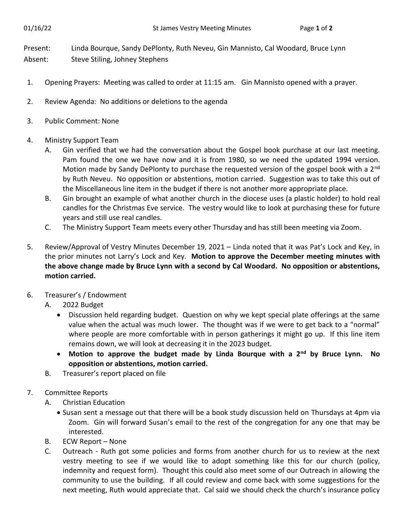Present: Linda Bourque, Sandy DePlonty, Ruth Neveu, Gin Mannisto, Cal Woodard, Bruce Lynn Absent: Steve Stiling, Johney Stephens

- 1. Opening Prayers: Meeting was called to order at 11:15 am. Gin Mannisto opened with a prayer.
- 2. Review Agenda: No additions or deletions to the agenda
- 3. Public Comment: None
- 4. Ministry Support Team
	- A. Gin verified that we had the conversation about the Gospel book purchase at our last meeting. Pam found the one we have now and it is from 1980, so we need the updated 1994 version. Motion made by Sandy DePlonty to purchase the requested version of the gospel book with a 2<sup>nd</sup> by Ruth Neveu. No opposition or abstentions, motion carried. Suggestion was to take this out of the Miscellaneous line item in the budget if there is not another more appropriate place.
	- B. Gin brought an example of what another church in the diocese uses (a plastic holder) to hold real candles for the Christmas Eve service. The vestry would like to look at purchasing these for future years and still use real candles.
	- C. The Ministry Support Team meets every other Thursday and has still been meeting via Zoom.
- 5. Review/Approval of Vestry Minutes December 19, 2021 Linda noted that it was Pat's Lock and Key, in the prior minutes not Larry's Lock and Key. **Motion to approve the December meeting minutes with the above change made by Bruce Lynn with a second by Cal Woodard. No opposition or abstentions, motion carried.**
- 6. Treasurer's / Endowment
	- A. 2022 Budget
		- Discussion held regarding budget. Question on why we kept special plate offerings at the same value when the actual was much lower. The thought was if we were to get back to a "normal" where people are more comfortable with in person gatherings it might go up. If this line item remains down, we will look at decreasing it in the 2023 budget.
		- **Motion to approve the budget made by Linda Bourque with a 2nd by Bruce Lynn. No opposition or abstentions, motion carried.**
	- B. Treasurer's report placed on file
- 7. Committee Reports
	- A. Christian Education
		- Susan sent a message out that there will be a book study discussion held on Thursdays at 4pm via Zoom. Gin will forward Susan's email to the rest of the congregation for any one that may be interested.
	- B. ECW Report None
	- C. Outreach Ruth got some policies and forms from another church for us to review at the next vestry meeting to see if we would like to adopt something like this for our church (policy, indemnity and request form). Thought this could also meet some of our Outreach in allowing the community to use the building. If all could review and come back with some suggestions for the next meeting, Ruth would appreciate that. Cal said we should check the church's insurance policy